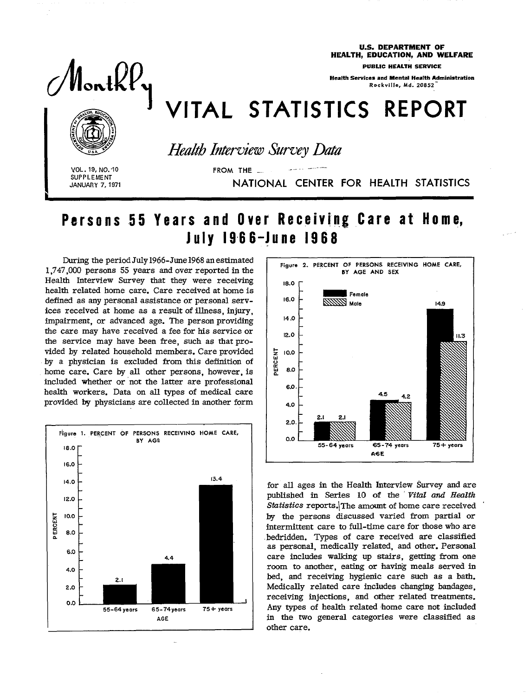Monthly

**U.S. DEPARTMENT OF** HEALTH, EDUCATION, AND WELFARE

**PUBLIC HEALTH SERVICE** 

**Health Services and Mental Health Administration** Rockville, Md. 20852

## VITAL STATISTICS REPORT



**Health Interview Survey Data** 

FROM THE

VOL. 19, NO. 10 **SUPPLEMENT JANUARY 7, 1971** 

NATIONAL CENTER FOR HEALTH STATISTICS

## Persons 55 Years and Over Receiving Care at Home, **July 1966-June 1968**

During the period July 1966-June 1968 an estimated 1,747,000 persons 55 years and over reported in the Health Interview Survey that they were receiving health related home care. Care received at home is defined as any personal assistance or personal services received at home as a result of illness, injury. impairment, or advanced age. The person providing the care may have received a fee for his service or the service may have been free, such as that provided by related household members. Care provided by a physician is excluded from this definition of home care. Care by all other persons, however, is included whether or not the latter are professional health workers. Data on all types of medical care provided by physicians are collected in another form





for all ages in the Health Interview Survey and are published in Series 10 of the Vital and Health Statistics reports. The amount of home care received by the persons discussed varied from partial or intermittent care to full-time care for those who are bedridden. Types of care received are classified as personal, medically related, and other. Personal care includes walking up stairs, getting from one room to another, eating or having meals served in bed, and receiving hygienic care such as a bath. Medically related care includes changing bandages. receiving injections, and other related treatments. Any types of health related home care not included in the two general categories were classified as other care.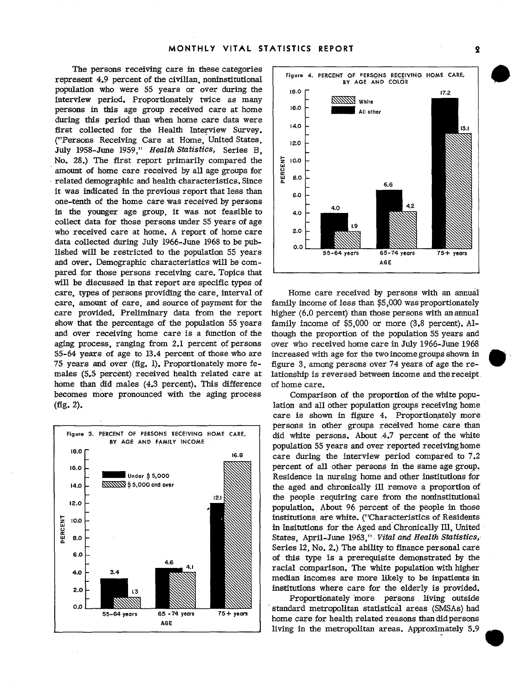The persons receiving care in these categories represent 4.9 percent of the civilian, noninstitutional population who were 55 years or over during the interview period. Proportionately twice as many persons in this age group received care at home during this period than when home care data were first collected for the Health Interview Survey. ("Persons Receiving Care at Home, United States, July 1958-June 1959." Health Statistics, Series B. No. 28.) The first report primarily compared the amount of home care received by all age groups for related demographic and health characteristics. Since it was indicated in the previous report that less than one-tenth of the home care was received by persons in the younger age group, it was not feasible to collect data for those persons under 55 years of age who received care at home. A report of home care data collected during July 1966-June 1968 to be published will be restricted to the population 55 years and over. Demographic characteristics will be compared for those persons receiving care. Topics that will be discussed in that report are specific types of care, types of persons providing the care, interval of care, amount of care, and source of payment for the care provided. Preliminary data from the report show that the percentage of the population 55 years and over receiving home care is a function of the aging process, ranging from 2.1 percent of persons 55-64 years of age to 13.4 percent of those who are 75 years and over (fig. 1). Proportionately more females (5.5 percent) received health related care at home than did males (4.3 percent). This difference becomes more pronounced with the aging process  $(fig. 2).$ 





Home care received by persons with an annual family income of less than \$5,000 was proportionately higher (6.0 percent) than those persons with an annual family income of \$5,000 or more (3.8 percent). Although the proportion of the population 55 years and over who received home care in July 1966-June 1968 increased with age for the two income groups shown in figure 3, among persons over 74 years of age the relationship is reversed between income and the receipt. of home care.

Comparison of the proportion of the white population and all other population groups receiving home care is shown in figure 4. Proportionately more persons in other groups received home care than did white persons. About 4.7 percent of the white population 55 years and over reported receiving home care during the interview period compared to 7.2 percent of all other persons in the same age group. Residence in nursing home and other institutions for the aged and chronically ill remove a proportion of the people requiring care from the noninstitutional population. About 96 percent of the people in those institutions are white. ("Characteristics of Residents in Insitutions for the Aged and Chronically Ill, United States, April-June 1963," Vital and Health Statistics, Series 12, No. 2.) The ability to finance personal care of this type is a prerequisite demonstrated by the racial comparison. The white population with higher median incomes are more likely to be inpatients in institutions where care for the elderly is provided.

Proportionately more persons living outside standard metropolitan statistical areas (SMSAs) had home care for health related reasons than did persons living in the metropolitan areas. Approximately 5.9

 $\mathbf{2}$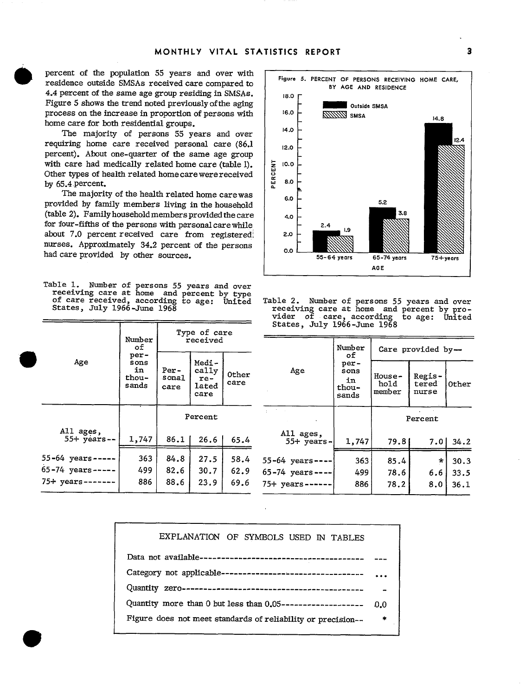percent of the population 55 years and over with residence outside SMSAs received care compared to 4.4 percent of the same age group residing in SMSAs. Figure 5 shows the trend noted previously of the aging process on the increase in proportion of persons with home care for both residential groups.

The majority of persons 55 years and over requiring home care received personal care (86.1 percent). About one-quarter of the same age group with care had medically related home care (table 1). Other types of health related home care were received by 65.4 percent.

The majority of the health related home carewas provided by family members living in the household (table 2). Family household members provided the care for four-fifths of the persons with personal care while about 7.0 percent received care from registered nurses. Approximately 34.2 percent of the persons had care provided by other sources.

Table 1. Number of persons 55 years and over receiving care at home and percent by type of care received, according to age: United<br>States, July 1966-June 1968

|                             | Number<br>оf                          | Type of care<br>received     |                                          |               |  |
|-----------------------------|---------------------------------------|------------------------------|------------------------------------------|---------------|--|
| Age                         | per-<br>sons<br>in.<br>thou-<br>sands | <b>Per-</b><br>sonal<br>care | Medi-<br>cally<br>$re-$<br>lated<br>care | Other<br>care |  |
|                             |                                       | Percent                      |                                          |               |  |
| All ages,<br>$55+$ years -- | 1,747                                 | 86.1                         | 26.6                                     | 65.4          |  |
| 55-64 years--               | 363                                   | 84.8                         | 27.5                                     | 58.4          |  |
| $65 - 74$ years -----       | 499.                                  | 82.6                         | 30.7                                     | 62.9          |  |
| $75+$ years-------          | 886                                   | 88.6                         | 23.9                                     | 69.6          |  |



Table 2. Number of persons 55 years and over<br>receiving care at home and percent by provider of care, according to age: United States, July 1966-June 1968

| per-<br>Age<br>sons<br>r<br>Regis.<br>House-<br>in<br>hold<br>tered<br>thou-<br>member<br>nurse<br>sands<br>good to come | Care provided by- |
|--------------------------------------------------------------------------------------------------------------------------|-------------------|
|                                                                                                                          | Other             |
| Percent                                                                                                                  |                   |
| All ages,<br>4<br>1,747<br>$55+$ years-<br>79.81<br>7.01<br>≍                                                            | 34.2              |
| 4<br>55-64 years-<br>85.4<br>363<br>$\star$                                                                              | 30.3              |
| 9.<br>$65 - 74$ years --<br>499<br>78.6<br>6.6                                                                           | 33.5              |
| 6<br>886<br>78.2<br>$75+$ years ----<br>8.0                                                                              | 36.1              |

| EXPLANATION OF SYMBOLS USED IN TABLES                          |               |  |  |  |
|----------------------------------------------------------------|---------------|--|--|--|
|                                                                |               |  |  |  |
| Category not applicable----------------------------------      |               |  |  |  |
|                                                                |               |  |  |  |
| Quantity more than 0 but less than $0.05$ -------------------- |               |  |  |  |
| Figure does not meet standards of reliability or precision--   | $\frac{1}{2}$ |  |  |  |
|                                                                |               |  |  |  |